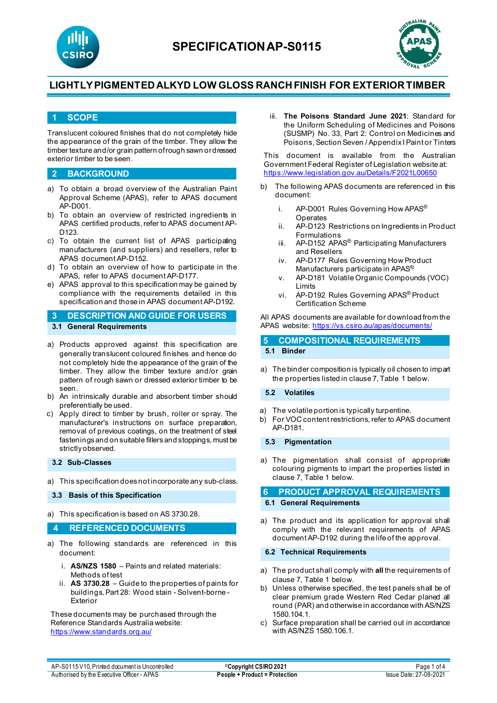



### **1 SCOPE**

Translucent coloured finishes that do not completely hide the appearance of the grain of the timber. They allow the timber texture and/or grain pattern of rough sawn or dressed exterior timber to be seen.

#### **2 BACKGROUND**

- a) To obtain a broad overview of the Australian Paint Approval Scheme (APAS), refer to APAS document AP-D001.
- b) To obtain an overview of restricted ingredients in APAS certified products, refer to APAS document AP-D<sub>123</sub>
- c) To obtain the current list of APAS participating manufacturers (and suppliers) and resellers, refer to APAS document AP-D152.
- d) To obtain an overview of how to participate in the APAS, refer to APAS document AP-D177.
- e) APAS approval to this specification may be gained by compliance with the requirements detailed in this specification and those in APAS document AP-D192.
- **3 DESCRIPTION AND GUIDE FOR USERS 3.1 General Requirements**
- a) Products approved against this specification are generally translucent coloured finishes and hence do not completely hide the appearance of the grain of the timber. They allow the timber texture and/or grain pattern of rough sawn or dressed exterior timber to be seen.
- b) An intrinsically durable and absorbent timber should preferentially be used.
- c) Apply direct to timber by brush, roller or spray. The manufacturer's instructions on surface preparation, removal of previous coatings, on the treatment of steel fastenings and on suitable fillers and stoppings, must be strictly observed.

#### **3.2 Sub-Classes**

a) This specification does not incorporate any sub-class.

**3.3 Basis of this Specification**

a) This specification is based on AS 3730.28.

### **4 REFERENCED DOCUMENTS**

- a) The following standards are referenced in this document:
	- i. **AS/NZS 1580** Paints and related materials: Methods of test
	- ii. **AS 3730.28** Guide to the properties of paints for buildings, Part 28: Wood stain - Solvent-borne - Exterior

These documents may be purchased through the Reference Standards Australia website: <https://www.standards.org.au/>

iii. **The Poisons Standard June 2021**: Standard for the Uniform Scheduling of Medicines and Poisons (SUSMP) No. 33, Part 2: Control on Medicines and Poisons, Section Seven / Appendix I Paint or Tinters

This document is available from the Australian Government Federal Register of Legislation website at: <https://www.legislation.gov.au/Details/F2021L00650>

- b) The following APAS documents are referenced in this document:
	- i. AP-D001 Rules Governing How APAS<sup>®</sup> Operates
	- ii. AP-D123 Restrictions on Ingredients in Product Formulations
	- iii. AP-D152 APAS® Participating Manufacturers and Resellers
	- iv. AP-D177 Rules Governing How Product Manufacturers participate in APAS®
	- v. AP-D181 Volatile Organic Compounds (VOC) Limits
	- vi. AP-D192 Rules Governing APAS® Product Certification Scheme

All APAS documents are available for download from the APAS website: <https://vs.csiro.au/apas/documents/>

### **5 COMPOSITIONAL REQUIREMENTS 5.1 Binder**

a) The binder composition is typically oil chosen to impart the properties listed in clause 7, Table 1 below.

#### **5.2 Volatiles**

- a) The volatile portion is typically turpentine.
- b) For VOC content restrictions, refer to APAS document AP-D181.

#### **5.3 Pigmentation**

a) The pigmentation shall consist of appropriate colouring pigments to impart the properties listed in clause 7, Table 1 below.

**6 PRODUCT APPROVAL REQUIREMENTS 6.1 General Requirements**

a) The product and its application for approval shall comply with the relevant requirements of APAS document AP-D192 during the life of the approval.

#### **6.2 Technical Requirements**

- a) The product shall comply with **all** the requirements of clause 7, Table 1 below.
- b) Unless otherwise specified, the test panels shall be of clear premium grade Western Red Cedar planed all round (PAR) and otherwise in accordance with AS/NZS 1580.104.1.
- c) Surface preparation shall be carried out in accordance with AS/NZS 1580.106.1.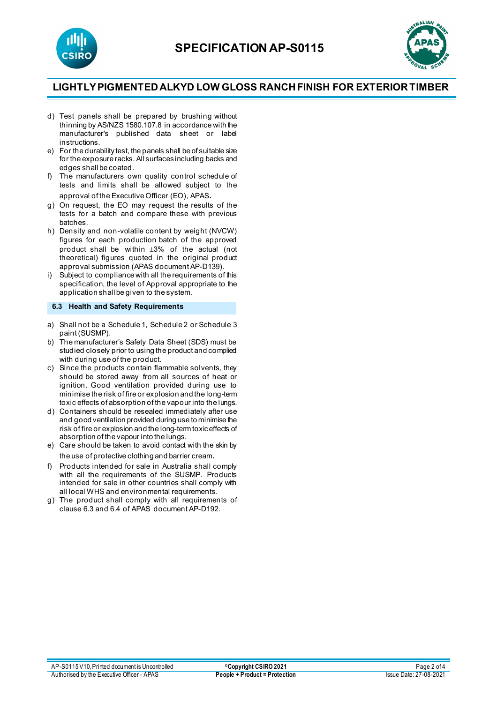



- d) Test panels shall be prepared by brushing without thinning by AS/NZS 1580.107.8 in accordance with the manufacturer's published data sheet or label instructions.
- e) For the durability test, the panels shall be of suitable size for the exposure racks. All surfaces including backs and edges shall be coated.
- f) The manufacturers own quality control schedule of tests and limits shall be allowed subject to the approval of the Executive Officer (EO), APAS.
- g) On request, the EO may request the results of the tests for a batch and compare these with previous batches.
- h) Density and non-volatile content by weight (NVCW) figures for each production batch of the approved product shall be within ±3% of the actual (not theoretical) figures quoted in the original product approval submission (APAS document AP-D139).
- i) Subject to compliance with all the requirements of this specification, the level of Approval appropriate to the application shall be given to the system.

### **6.3 Health and Safety Requirements**

- a) Shall not be a Schedule 1, Schedule 2 or Schedule 3 paint (SUSMP).
- b) The manufacturer's Safety Data Sheet (SDS) must be studied closely prior to using the product and complied with during use of the product.
- c) Since the products contain flammable solvents, they should be stored away from all sources of heat or ignition. Good ventilation provided during use to minimise the risk of fire or explosion and the long-term toxic effects of absorption of the vapour into the lungs.
- d) Containers should be resealed immediately after use and good ventilation provided during use to minimise the risk of fire or explosion and the long-term toxic effects of absorption of the vapour into the lungs.
- e) Care should be taken to avoid contact with the skin by the use of protective clothing and barrier cream.
- f) Products intended for sale in Australia shall comply with all the requirements of the SUSMP. Products intended for sale in other countries shall comply with all local WHS and environmental requirements.
- g) The product shall comply with all requirements of clause 6.3 and 6.4 of APAS document AP-D192.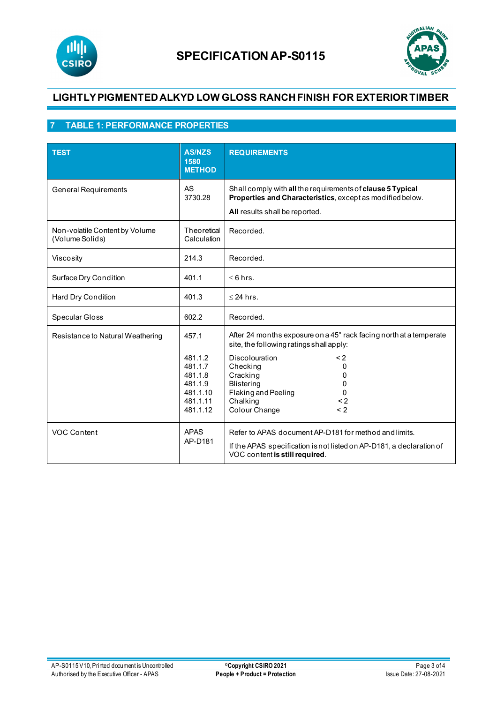



# **7 TABLE 1: PERFORMANCE PROPERTIES**

| <b>TEST</b>                                       | <b>AS/NZS</b><br>1580<br><b>METHOD</b>                                                | <b>REQUIREMENTS</b>                                                                                                                                                                                                                                                                    |
|---------------------------------------------------|---------------------------------------------------------------------------------------|----------------------------------------------------------------------------------------------------------------------------------------------------------------------------------------------------------------------------------------------------------------------------------------|
| <b>General Requirements</b>                       | <b>AS</b><br>3730.28                                                                  | Shall comply with all the requirements of clause 5 Typical<br>Properties and Characteristics, except as modified below.<br>All results shall be reported.                                                                                                                              |
| Non-volatile Content by Volume<br>(Volume Solids) | Theoretical<br>Calculation                                                            | Recorded.                                                                                                                                                                                                                                                                              |
| Viscosity                                         | 214.3                                                                                 | Recorded.                                                                                                                                                                                                                                                                              |
| Surface Dry Condition                             | 401.1                                                                                 | $\leq 6$ hrs.                                                                                                                                                                                                                                                                          |
| Hard Dry Condition                                | 401.3                                                                                 | $\leq$ 24 hrs.                                                                                                                                                                                                                                                                         |
| Specular Gloss                                    | 602.2                                                                                 | Recorded.                                                                                                                                                                                                                                                                              |
| Resistance to Natural Weathering                  | 457.1<br>481.1.2<br>481.1.7<br>481.1.8<br>481.1.9<br>481.1.10<br>481.1.11<br>481.1.12 | After 24 months exposure on a 45° rack facing north at a temperate<br>site, the following ratings shall apply:<br><b>Discolouration</b><br>$\leq$ 2<br>Checking<br>0<br>Cracking<br>0<br><b>Blistering</b><br>O<br>Flaking and Peeling<br>0<br>Chalking<br>< 2<br>Colour Change<br>< 2 |
| VOC Content                                       | <b>APAS</b><br>AP-D181                                                                | Refer to APAS document AP-D181 for method and limits.<br>If the APAS specification is not listed on AP-D181, a declaration of<br>VOC content is still required.                                                                                                                        |